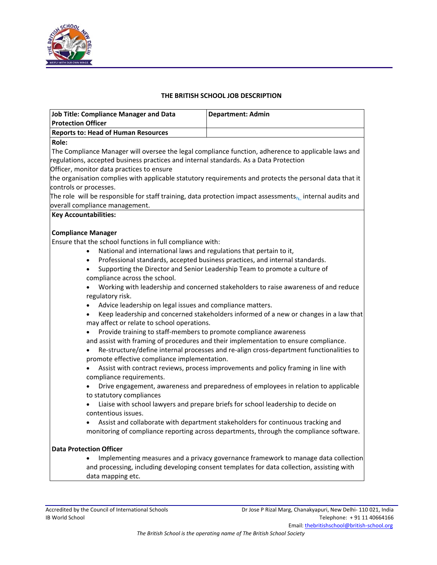

## **THE BRITISH SCHOOL JOB DESCRIPTION**

| <b>Job Title: Compliance Manager and Data</b>                                         |                                                                                                                                                                            |
|---------------------------------------------------------------------------------------|----------------------------------------------------------------------------------------------------------------------------------------------------------------------------|
| <b>Protection Officer</b>                                                             | <b>Department: Admin</b>                                                                                                                                                   |
| <b>Reports to: Head of Human Resources</b>                                            |                                                                                                                                                                            |
| Role:                                                                                 |                                                                                                                                                                            |
| regulations, accepted business practices and internal standards. As a Data Protection | The Compliance Manager will oversee the legal compliance function, adherence to applicable laws and                                                                        |
| Officer, monitor data practices to ensure                                             |                                                                                                                                                                            |
| controls or processes.                                                                | the organisation complies with applicable statutory requirements and protects the personal data that it                                                                    |
|                                                                                       | The role will be responsible for staff training, data protection impact assessments $_{7L}$ internal audits and                                                            |
| overall compliance management.                                                        |                                                                                                                                                                            |
| <b>Key Accountabilities:</b>                                                          |                                                                                                                                                                            |
|                                                                                       |                                                                                                                                                                            |
| <b>Compliance Manager</b>                                                             |                                                                                                                                                                            |
| Ensure that the school functions in full compliance with:                             |                                                                                                                                                                            |
| National and international laws and regulations that pertain to it,                   |                                                                                                                                                                            |
| $\bullet$                                                                             | Professional standards, accepted business practices, and internal standards.                                                                                               |
|                                                                                       | Supporting the Director and Senior Leadership Team to promote a culture of                                                                                                 |
| compliance across the school.                                                         |                                                                                                                                                                            |
|                                                                                       | Working with leadership and concerned stakeholders to raise awareness of and reduce                                                                                        |
| regulatory risk.                                                                      |                                                                                                                                                                            |
| Advice leadership on legal issues and compliance matters.<br>$\bullet$                |                                                                                                                                                                            |
| may affect or relate to school operations.                                            | Keep leadership and concerned stakeholders informed of a new or changes in a law that                                                                                      |
| Provide training to staff-members to promote compliance awareness                     |                                                                                                                                                                            |
|                                                                                       | and assist with framing of procedures and their implementation to ensure compliance.                                                                                       |
| promote effective compliance implementation.                                          | Re-structure/define internal processes and re-align cross-department functionalities to                                                                                    |
| compliance requirements.                                                              | Assist with contract reviews, process improvements and policy framing in line with                                                                                         |
| to statutory compliances                                                              | Drive engagement, awareness and preparedness of employees in relation to applicable                                                                                        |
| contentious issues.                                                                   | Liaise with school lawyers and prepare briefs for school leadership to decide on                                                                                           |
|                                                                                       | Assist and collaborate with department stakeholders for continuous tracking and<br>monitoring of compliance reporting across departments, through the compliance software. |
| <b>Data Protection Officer</b>                                                        |                                                                                                                                                                            |
|                                                                                       | Implementing measures and a privacy governance framework to manage data collection                                                                                         |
| data mapping etc.                                                                     | and processing, including developing consent templates for data collection, assisting with                                                                                 |
|                                                                                       |                                                                                                                                                                            |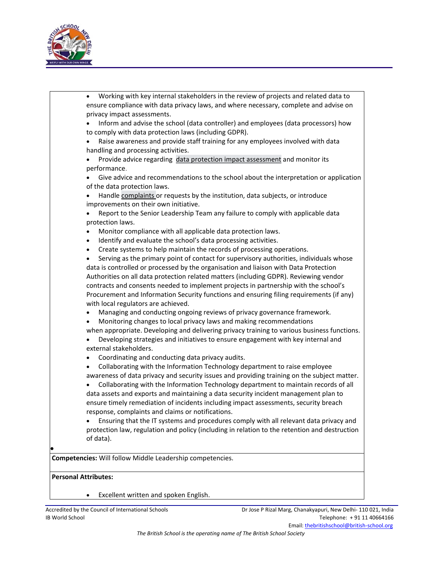

|                             | Working with key internal stakeholders in the review of projects and related data to<br>ensure compliance with data privacy laws, and where necessary, complete and advise on |
|-----------------------------|-------------------------------------------------------------------------------------------------------------------------------------------------------------------------------|
|                             | privacy impact assessments.                                                                                                                                                   |
|                             | Inform and advise the school (data controller) and employees (data processors) how                                                                                            |
|                             | to comply with data protection laws (including GDPR).                                                                                                                         |
|                             | Raise awareness and provide staff training for any employees involved with data                                                                                               |
|                             | handling and processing activities.                                                                                                                                           |
|                             | Provide advice regarding data protection impact assessment and monitor its                                                                                                    |
|                             | performance.                                                                                                                                                                  |
|                             | Give advice and recommendations to the school about the interpretation or application                                                                                         |
|                             | of the data protection laws.                                                                                                                                                  |
|                             | Handle complaints or requests by the institution, data subjects, or introduce                                                                                                 |
|                             | improvements on their own initiative.                                                                                                                                         |
|                             | Report to the Senior Leadership Team any failure to comply with applicable data                                                                                               |
|                             | protection laws.                                                                                                                                                              |
|                             | Monitor compliance with all applicable data protection laws.                                                                                                                  |
| $\bullet$                   | Identify and evaluate the school's data processing activities.                                                                                                                |
| $\bullet$                   | Create systems to help maintain the records of processing operations.                                                                                                         |
|                             | Serving as the primary point of contact for supervisory authorities, individuals whose                                                                                        |
|                             | data is controlled or processed by the organisation and liaison with Data Protection                                                                                          |
|                             | Authorities on all data protection related matters (including GDPR). Reviewing vendor                                                                                         |
|                             | contracts and consents needed to implement projects in partnership with the school's                                                                                          |
|                             | Procurement and Information Security functions and ensuring filing requirements (if any)                                                                                      |
|                             | with local regulators are achieved.                                                                                                                                           |
|                             | Managing and conducting ongoing reviews of privacy governance framework.                                                                                                      |
|                             | Monitoring changes to local privacy laws and making recommendations                                                                                                           |
|                             | when appropriate. Developing and delivering privacy training to various business functions.                                                                                   |
|                             | Developing strategies and initiatives to ensure engagement with key internal and                                                                                              |
|                             | external stakeholders.                                                                                                                                                        |
|                             | Coordinating and conducting data privacy audits.                                                                                                                              |
|                             | Collaborating with the Information Technology department to raise employee                                                                                                    |
|                             | awareness of data privacy and security issues and providing training on the subject matter.                                                                                   |
|                             | Collaborating with the Information Technology department to maintain records of all                                                                                           |
|                             | data assets and exports and maintaining a data security incident management plan to                                                                                           |
|                             | ensure timely remediation of incidents including impact assessments, security breach                                                                                          |
|                             | response, complaints and claims or notifications.                                                                                                                             |
|                             | Ensuring that the IT systems and procedures comply with all relevant data privacy and                                                                                         |
|                             | protection law, regulation and policy (including in relation to the retention and destruction                                                                                 |
|                             | of data).                                                                                                                                                                     |
|                             |                                                                                                                                                                               |
|                             | Competencies: Will follow Middle Leadership competencies.                                                                                                                     |
| <b>Personal Attributes:</b> |                                                                                                                                                                               |
|                             |                                                                                                                                                                               |
|                             | Excellent written and spoken English.                                                                                                                                         |
|                             |                                                                                                                                                                               |

Accredited by the Council of International Schools Dr Jose P Rizal Marg, Chanakyapuri, New Delhi‐ 110 021, India Telephone: + 91 11 40664166 Email: thebritishschool@british‐school.org